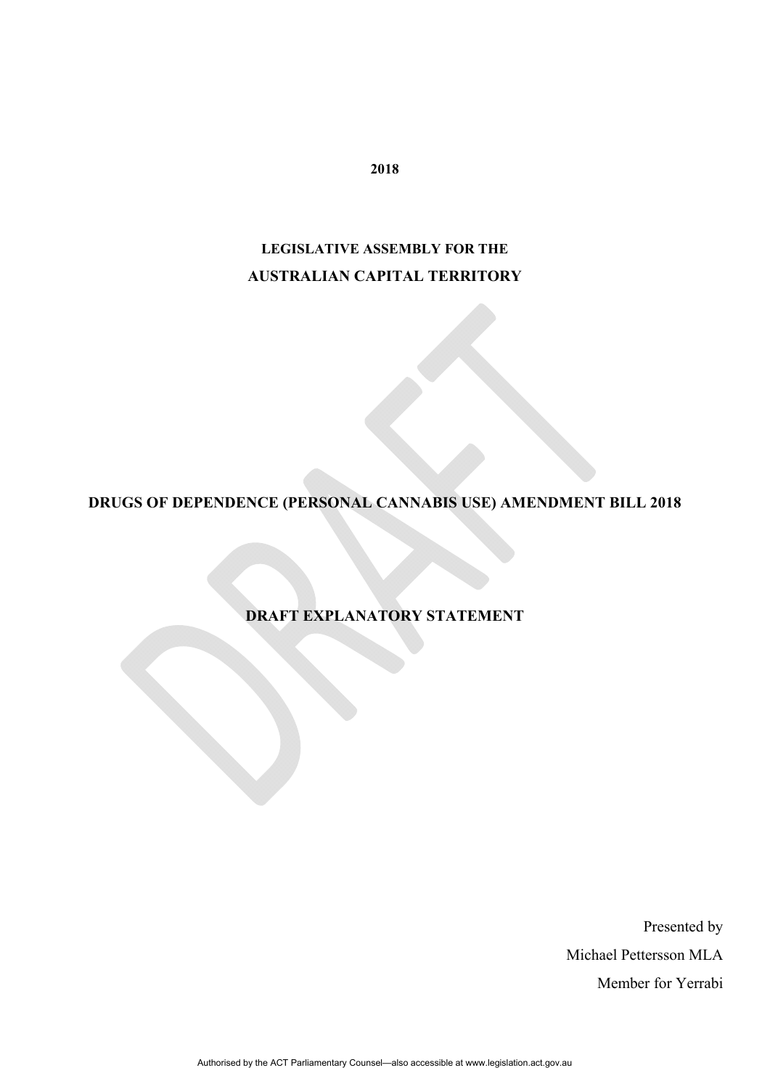**2018** 

# **LEGISLATIVE ASSEMBLY FOR THE AUSTRALIAN CAPITAL TERRITORY**

**DRUGS OF DEPENDENCE (PERSONAL CANNABIS USE) AMENDMENT BILL 2018** 

**DRAFT EXPLANATORY STATEMENT** 

Presented by Michael Pettersson MLA Member for Yerrabi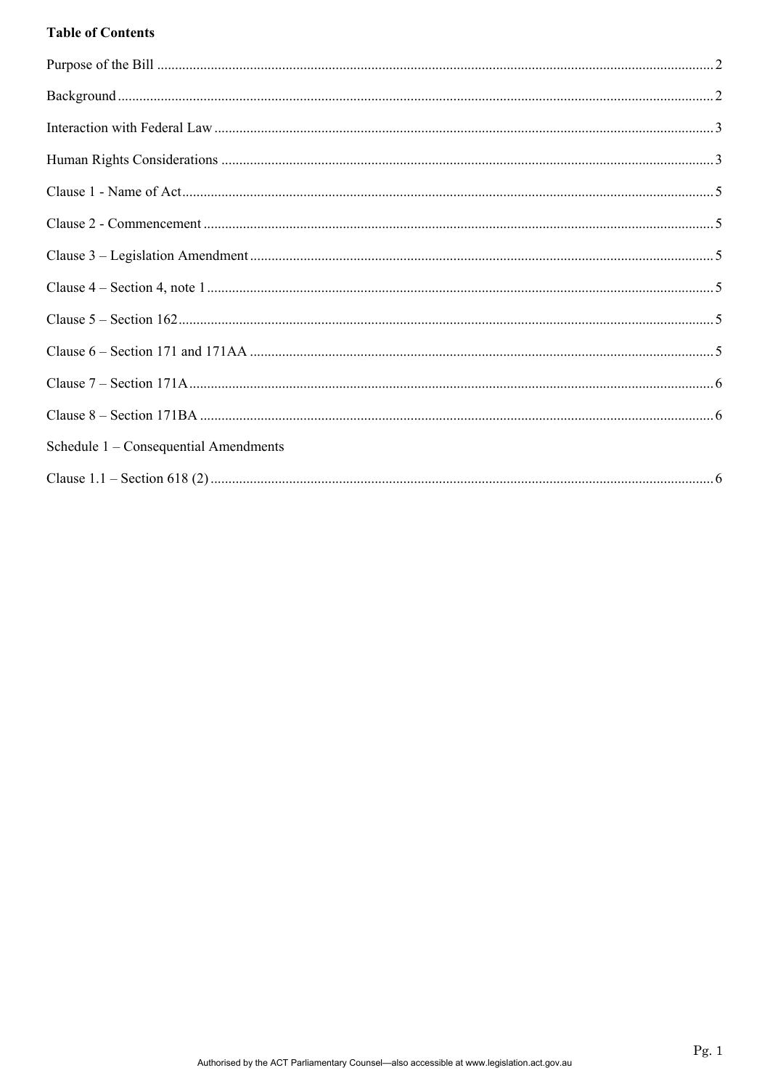# **Table of Contents**

| Schedule 1 – Consequential Amendments |  |
|---------------------------------------|--|
|                                       |  |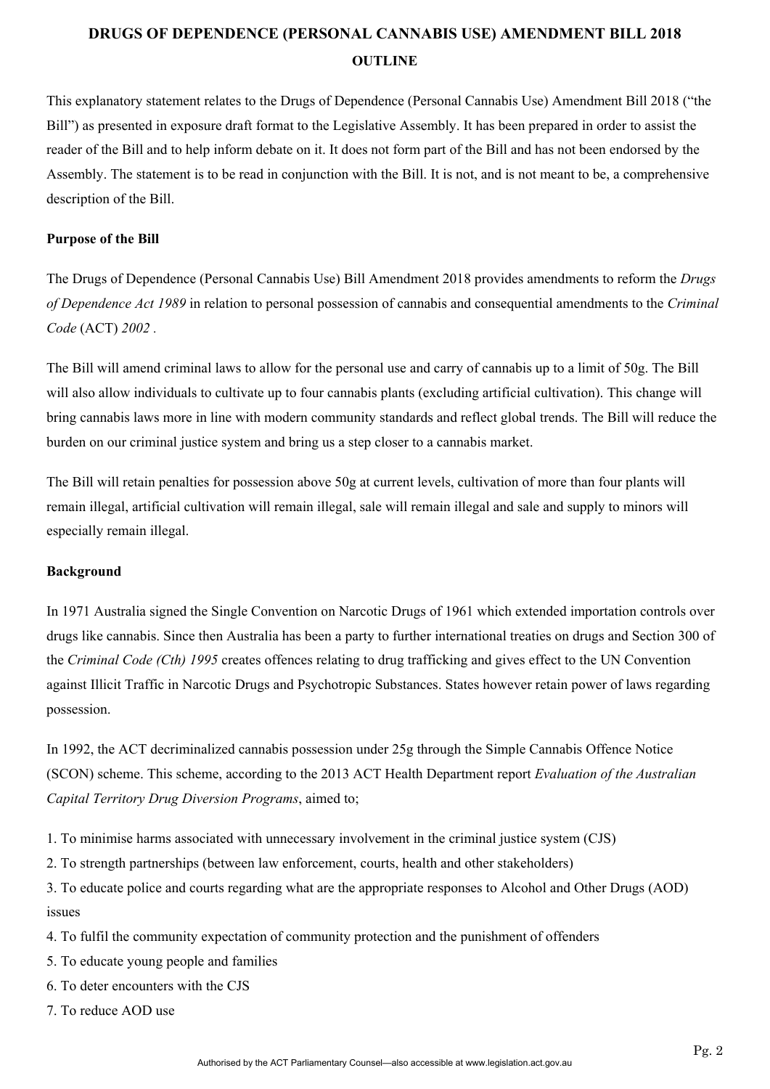# **DRUGS OF DEPENDENCE (PERSONAL CANNABIS USE) AMENDMENT BILL 2018 OUTLINE**

This explanatory statement relates to the Drugs of Dependence (Personal Cannabis Use) Amendment Bill 2018 ("the Bill") as presented in exposure draft format to the Legislative Assembly. It has been prepared in order to assist the reader of the Bill and to help inform debate on it. It does not form part of the Bill and has not been endorsed by the Assembly. The statement is to be read in conjunction with the Bill. It is not, and is not meant to be, a comprehensive description of the Bill.

## **Purpose of the Bill**

The Drugs of Dependence (Personal Cannabis Use) Bill Amendment 2018 provides amendments to reform the *Drugs of Dependence Act 1989* in relation to personal possession of cannabis and consequential amendments to the *Criminal Code* (ACT) *2002 .* 

The Bill will amend criminal laws to allow for the personal use and carry of cannabis up to a limit of 50g. The Bill will also allow individuals to cultivate up to four cannabis plants (excluding artificial cultivation). This change will bring cannabis laws more in line with modern community standards and reflect global trends. The Bill will reduce the burden on our criminal justice system and bring us a step closer to a cannabis market.

The Bill will retain penalties for possession above 50g at current levels, cultivation of more than four plants will remain illegal, artificial cultivation will remain illegal, sale will remain illegal and sale and supply to minors will especially remain illegal.

#### **Background**

In 1971 Australia signed the Single Convention on Narcotic Drugs of 1961 which extended importation controls over drugs like cannabis. Since then Australia has been a party to further international treaties on drugs and Section 300 of the *Criminal Code (Cth) 1995* creates offences relating to drug trafficking and gives effect to the UN Convention against Illicit Traffic in Narcotic Drugs and Psychotropic Substances. States however retain power of laws regarding possession.

In 1992, the ACT decriminalized cannabis possession under 25g through the Simple Cannabis Offence Notice (SCON) scheme. This scheme, according to the 2013 ACT Health Department report *Evaluation of the Australian Capital Territory Drug Diversion Programs*, aimed to;

1. To minimise harms associated with unnecessary involvement in the criminal justice system (CJS)

2. To strength partnerships (between law enforcement, courts, health and other stakeholders)

3. To educate police and courts regarding what are the appropriate responses to Alcohol and Other Drugs (AOD) issues

- 4. To fulfil the community expectation of community protection and the punishment of offenders
- 5. To educate young people and families
- 6. To deter encounters with the CJS
- 7. To reduce AOD use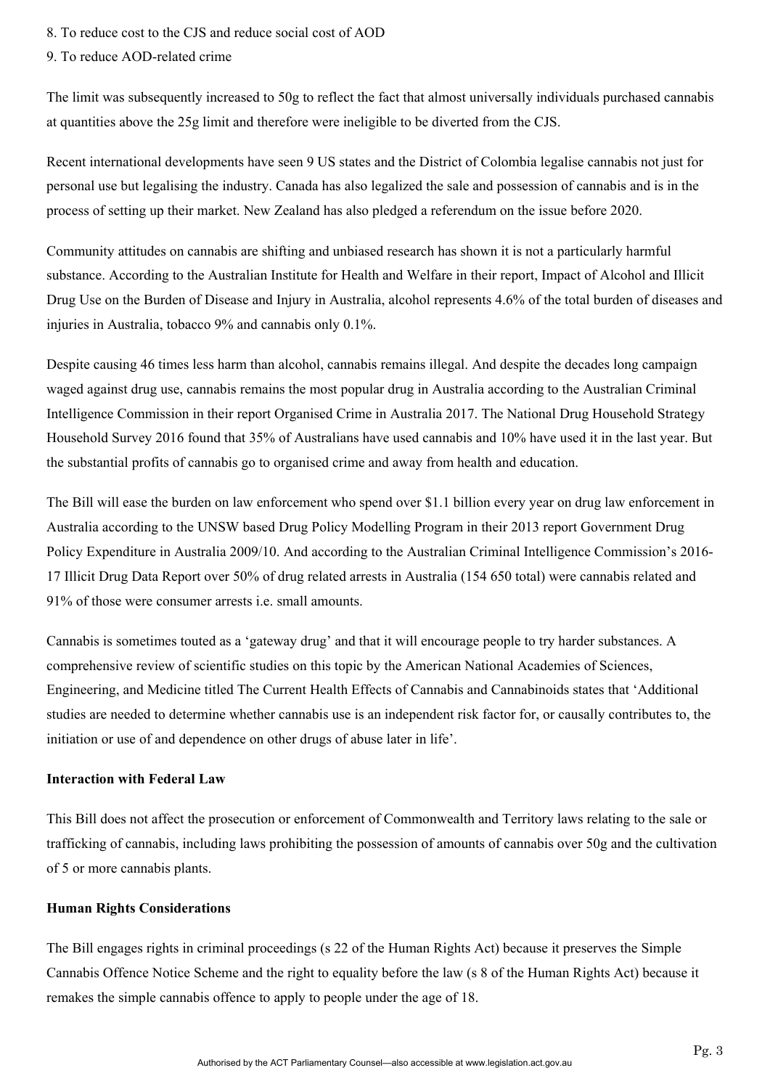8. To reduce cost to the CJS and reduce social cost of AOD

9. To reduce AOD-related crime

The limit was subsequently increased to 50g to reflect the fact that almost universally individuals purchased cannabis at quantities above the 25g limit and therefore were ineligible to be diverted from the CJS.

Recent international developments have seen 9 US states and the District of Colombia legalise cannabis not just for personal use but legalising the industry. Canada has also legalized the sale and possession of cannabis and is in the process of setting up their market. New Zealand has also pledged a referendum on the issue before 2020.

Community attitudes on cannabis are shifting and unbiased research has shown it is not a particularly harmful substance. According to the Australian Institute for Health and Welfare in their report, Impact of Alcohol and Illicit Drug Use on the Burden of Disease and Injury in Australia, alcohol represents 4.6% of the total burden of diseases and injuries in Australia, tobacco 9% and cannabis only 0.1%.

Despite causing 46 times less harm than alcohol, cannabis remains illegal. And despite the decades long campaign waged against drug use, cannabis remains the most popular drug in Australia according to the Australian Criminal Intelligence Commission in their report Organised Crime in Australia 2017. The National Drug Household Strategy Household Survey 2016 found that 35% of Australians have used cannabis and 10% have used it in the last year. But the substantial profits of cannabis go to organised crime and away from health and education.

The Bill will ease the burden on law enforcement who spend over \$1.1 billion every year on drug law enforcement in Australia according to the UNSW based Drug Policy Modelling Program in their 2013 report Government Drug Policy Expenditure in Australia 2009/10. And according to the Australian Criminal Intelligence Commission's 2016- 17 Illicit Drug Data Report over 50% of drug related arrests in Australia (154 650 total) were cannabis related and 91% of those were consumer arrests i.e. small amounts.

Cannabis is sometimes touted as a 'gateway drug' and that it will encourage people to try harder substances. A comprehensive review of scientific studies on this topic by the American National Academies of Sciences, Engineering, and Medicine titled The Current Health Effects of Cannabis and Cannabinoids states that 'Additional studies are needed to determine whether cannabis use is an independent risk factor for, or causally contributes to, the initiation or use of and dependence on other drugs of abuse later in life'.

## **Interaction with Federal Law**

This Bill does not affect the prosecution or enforcement of Commonwealth and Territory laws relating to the sale or trafficking of cannabis, including laws prohibiting the possession of amounts of cannabis over 50g and the cultivation of 5 or more cannabis plants.

## **Human Rights Considerations**

The Bill engages rights in criminal proceedings (s 22 of the Human Rights Act) because it preserves the Simple Cannabis Offence Notice Scheme and the right to equality before the law (s 8 of the Human Rights Act) because it remakes the simple cannabis offence to apply to people under the age of 18.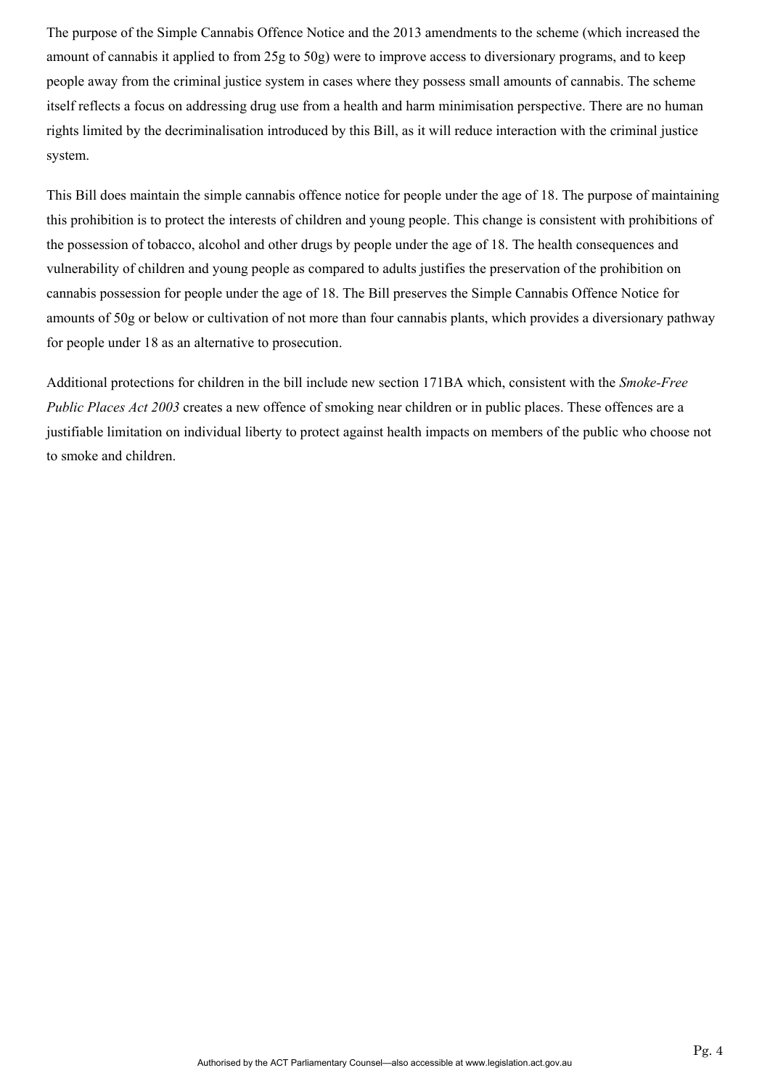The purpose of the Simple Cannabis Offence Notice and the 2013 amendments to the scheme (which increased the amount of cannabis it applied to from 25g to 50g) were to improve access to diversionary programs, and to keep people away from the criminal justice system in cases where they possess small amounts of cannabis. The scheme itself reflects a focus on addressing drug use from a health and harm minimisation perspective. There are no human rights limited by the decriminalisation introduced by this Bill, as it will reduce interaction with the criminal justice system.

This Bill does maintain the simple cannabis offence notice for people under the age of 18. The purpose of maintaining this prohibition is to protect the interests of children and young people. This change is consistent with prohibitions of the possession of tobacco, alcohol and other drugs by people under the age of 18. The health consequences and vulnerability of children and young people as compared to adults justifies the preservation of the prohibition on cannabis possession for people under the age of 18. The Bill preserves the Simple Cannabis Offence Notice for amounts of 50g or below or cultivation of not more than four cannabis plants, which provides a diversionary pathway for people under 18 as an alternative to prosecution.

Additional protections for children in the bill include new section 171BA which, consistent with the *Smoke-Free Public Places Act 2003* creates a new offence of smoking near children or in public places. These offences are a justifiable limitation on individual liberty to protect against health impacts on members of the public who choose not to smoke and children.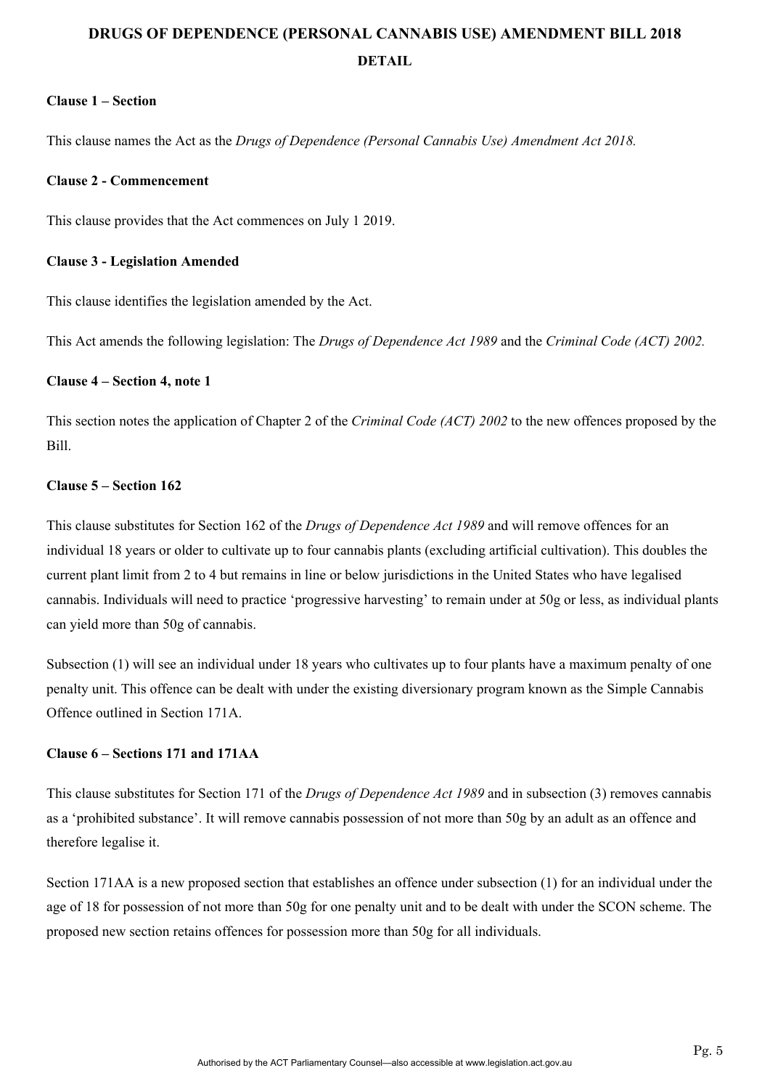# **DRUGS OF DEPENDENCE (PERSONAL CANNABIS USE) AMENDMENT BILL 2018 DETAIL**

## **Clause 1 – Section**

This clause names the Act as the *Drugs of Dependence (Personal Cannabis Use) Amendment Act 2018.*

### **Clause 2 - Commencement**

This clause provides that the Act commences on July 1 2019.

#### **Clause 3 - Legislation Amended**

This clause identifies the legislation amended by the Act.

This Act amends the following legislation: The *Drugs of Dependence Act 1989* and the *Criminal Code (ACT) 2002.* 

## **Clause 4 – Section 4, note 1**

This section notes the application of Chapter 2 of the *Criminal Code (ACT) 2002* to the new offences proposed by the Bill.

## **Clause 5 – Section 162**

This clause substitutes for Section 162 of the *Drugs of Dependence Act 1989* and will remove offences for an individual 18 years or older to cultivate up to four cannabis plants (excluding artificial cultivation). This doubles the current plant limit from 2 to 4 but remains in line or below jurisdictions in the United States who have legalised cannabis. Individuals will need to practice 'progressive harvesting' to remain under at 50g or less, as individual plants can yield more than 50g of cannabis.

Subsection (1) will see an individual under 18 years who cultivates up to four plants have a maximum penalty of one penalty unit. This offence can be dealt with under the existing diversionary program known as the Simple Cannabis Offence outlined in Section 171A.

# **Clause 6 – Sections 171 and 171AA**

This clause substitutes for Section 171 of the *Drugs of Dependence Act 1989* and in subsection (3) removes cannabis as a 'prohibited substance'. It will remove cannabis possession of not more than 50g by an adult as an offence and therefore legalise it.

Section 171AA is a new proposed section that establishes an offence under subsection (1) for an individual under the age of 18 for possession of not more than 50g for one penalty unit and to be dealt with under the SCON scheme. The proposed new section retains offences for possession more than 50g for all individuals.